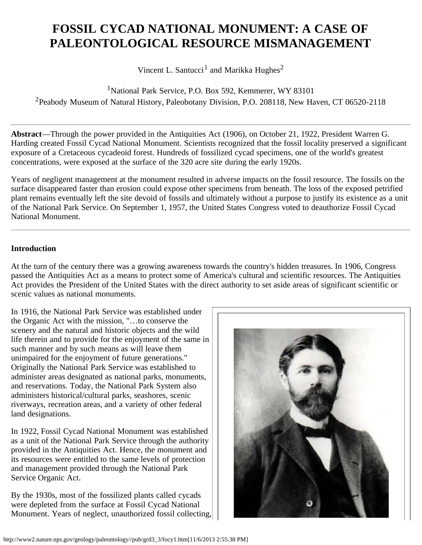# **FOSSIL CYCAD NATIONAL MONUMENT: A CASE OF PALEONTOLOGICAL RESOURCE MISMANAGEMENT**

Vincent L. Santucci<sup>1</sup> and Marikka Hughes<sup>2</sup>

<sup>1</sup>National Park Service, P.O. Box 592, Kemmerer, WY 83101 <sup>2</sup> Peabody Museum of Natural History, Paleobotany Division, P.O. 208118, New Haven, CT 06520-2118

**Abstract**—Through the power provided in the Antiquities Act (1906), on October 21, 1922, President Warren G. Harding created Fossil Cycad National Monument. Scientists recognized that the fossil locality preserved a significant exposure of a Cretaceous cycadeoid forest. Hundreds of fossilized cycad specimens, one of the world's greatest concentrations, were exposed at the surface of the 320 acre site during the early 1920s.

Years of negligent management at the monument resulted in adverse impacts on the fossil resource. The fossils on the surface disappeared faster than erosion could expose other specimens from beneath. The loss of the exposed petrified plant remains eventually left the site devoid of fossils and ultimately without a purpose to justify its existence as a unit of the National Park Service. On September 1, 1957, the United States Congress voted to deauthorize Fossil Cycad National Monument.

## **Introduction**

At the turn of the century there was a growing awareness towards the country's hidden treasures. In 1906, Congress passed the Antiquities Act as a means to protect some of America's cultural and scientific resources. The Antiquities Act provides the President of the United States with the direct authority to set aside areas of significant scientific or scenic values as national monuments.

In 1916, the National Park Service was established under the Organic Act with the mission, "…to conserve the scenery and the natural and historic objects and the wild life therein and to provide for the enjoyment of the same in such manner and by such means as will leave them unimpaired for the enjoyment of future generations." Originally the National Park Service was established to administer areas designated as national parks, monuments, and reservations. Today, the National Park System also administers historical/cultural parks, seashores, scenic riverways, recreation areas, and a variety of other federal land designations.

In 1922, Fossil Cycad National Monument was established as a unit of the National Park Service through the authority provided in the Antiquities Act. Hence, the monument and its resources were entitled to the same levels of protection and management provided through the National Park Service Organic Act.

By the 1930s, most of the fossilized plants called cycads were depleted from the surface at Fossil Cycad National Monument. Years of neglect, unauthorized fossil collecting,

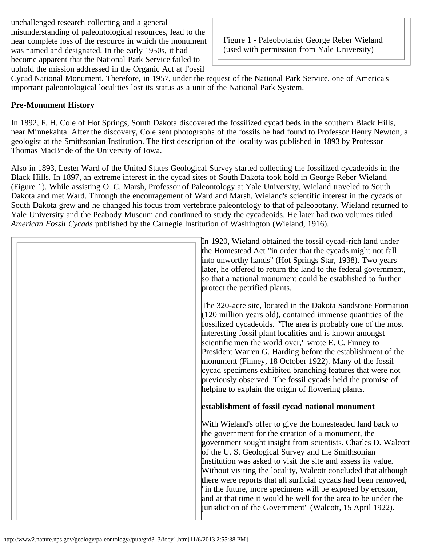unchallenged research collecting and a general misunderstanding of paleontological resources, lead to the near complete loss of the resource in which the monument was named and designated. In the early 1950s, it had become apparent that the National Park Service failed to uphold the mission addressed in the Organic Act at Fossil

Figure 1 - Paleobotanist George Reber Wieland (used with permission from Yale University)

Cycad National Monument. Therefore, in 1957, under the request of the National Park Service, one of America's important paleontological localities lost its status as a unit of the National Park System.

## **Pre-Monument History**

In 1892, F. H. Cole of Hot Springs, South Dakota discovered the fossilized cycad beds in the southern Black Hills, near Minnekahta. After the discovery, Cole sent photographs of the fossils he had found to Professor Henry Newton, a geologist at the Smithsonian Institution. The first description of the locality was published in 1893 by Professor Thomas MacBride of the University of Iowa.

Also in 1893, Lester Ward of the United States Geological Survey started collecting the fossilized cycadeoids in the Black Hills. In 1897, an extreme interest in the cycad sites of South Dakota took hold in George Reber Wieland (Figure 1). While assisting O. C. Marsh, Professor of Paleontology at Yale University, Wieland traveled to South Dakota and met Ward. Through the encouragement of Ward and Marsh, Wieland's scientific interest in the cycads of South Dakota grew and he changed his focus from vertebrate paleontology to that of paleobotany. Wieland returned to Yale University and the Peabody Museum and continued to study the cycadeoids. He later had two volumes titled *American Fossil Cycads* published by the Carnegie Institution of Washington (Wieland, 1916).

| In 1920, Wieland obtained the fossil cycad-rich land under<br>the Homestead Act "in order that the cycads might not fall<br>into unworthy hands" (Hot Springs Star, 1938). Two years<br>later, he offered to return the land to the federal government,<br>so that a national monument could be established to further<br>protect the petrified plants.                                                                                                                                                                                                                                                                                 |
|-----------------------------------------------------------------------------------------------------------------------------------------------------------------------------------------------------------------------------------------------------------------------------------------------------------------------------------------------------------------------------------------------------------------------------------------------------------------------------------------------------------------------------------------------------------------------------------------------------------------------------------------|
| The 320-acre site, located in the Dakota Sandstone Formation<br>$(120 \text{ million years old})$ , contained immense quantities of the<br>fossilized cycadeoids. "The area is probably one of the most<br>interesting fossil plant localities and is known amongst<br>scientific men the world over," wrote E. C. Finney to<br>President Warren G. Harding before the establishment of the<br>monument (Finney, 18 October 1922). Many of the fossil<br>cycad specimens exhibited branching features that were not<br>previously observed. The fossil cycads held the promise of<br>helping to explain the origin of flowering plants. |
| establishment of fossil cycad national monument                                                                                                                                                                                                                                                                                                                                                                                                                                                                                                                                                                                         |
| With Wieland's offer to give the homesteaded land back to<br>the government for the creation of a monument, the<br>government sought insight from scientists. Charles D. Walcott<br>of the U.S. Geological Survey and the Smithsonian<br>Institution was asked to visit the site and assess its value.<br>Without visiting the locality, Walcott concluded that although<br>there were reports that all surficial cycads had been removed,<br>"in the future, more specimens will be exposed by erosion,<br>and at that time it would be well for the area to be under the<br>jurisdiction of the Government" (Walcott, 15 April 1922). |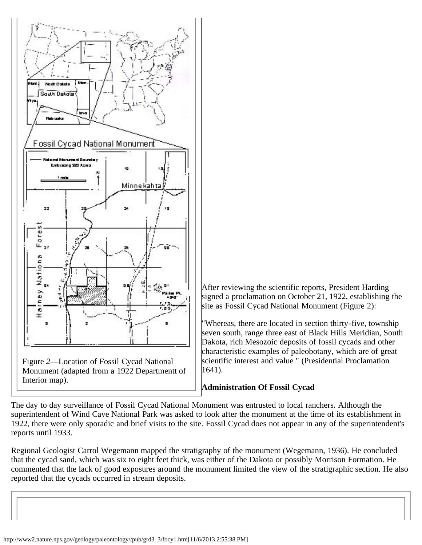

After reviewing the scientific reports, President Harding signed a proclamation on October 21, 1922, establishing the site as Fossil Cycad National Monument (Figure 2):

"Whereas, there are located in section thirty-five, township seven south, range three east of Black Hills Meridian, South Dakota, rich Mesozoic deposits of fossil cycads and other characteristic examples of paleobotany, which are of great scientific interest and value " (Presidential Proclamation 1641).

## **Administration Of Fossil Cycad**

The day to day surveillance of Fossil Cycad National Monument was entrusted to local ranchers. Although the superintendent of Wind Cave National Park was asked to look after the monument at the time of its establishment in 1922, there were only sporadic and brief visits to the site. Fossil Cycad does not appear in any of the superintendent's reports until 1933.

Regional Geologist Carrol Wegemann mapped the stratigraphy of the monument (Wegemann, 1936). He concluded that the cycad sand, which was six to eight feet thick, was either of the Dakota or possibly Morrison Formation. He commented that the lack of good exposures around the monument limited the view of the stratigraphic section. He also reported that the cycads occurred in stream deposits.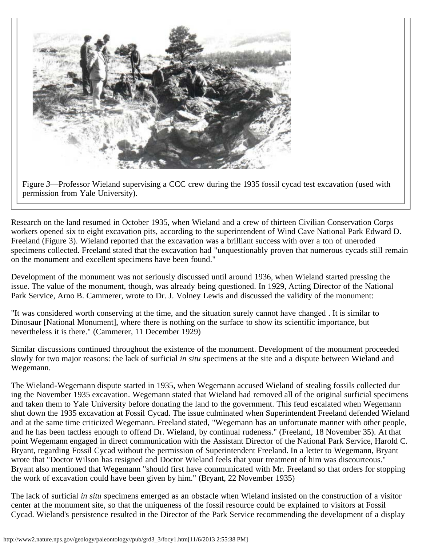

Figure *3*—Professor Wieland supervising a CCC crew during the 1935 fossil cycad test excavation (used with permission from Yale University).

Research on the land resumed in October 1935, when Wieland and a crew of thirteen Civilian Conservation Corps workers opened six to eight excavation pits, according to the superintendent of Wind Cave National Park Edward D. Freeland (Figure 3). Wieland reported that the excavation was a brilliant success with over a ton of uneroded specimens collected. Freeland stated that the excavation had "unquestionably proven that numerous cycads still remain on the monument and excellent specimens have been found."

Development of the monument was not seriously discussed until around 1936, when Wieland started pressing the issue. The value of the monument, though, was already being questioned. In 1929, Acting Director of the National Park Service, Arno B. Cammerer, wrote to Dr. J. Volney Lewis and discussed the validity of the monument:

"It was considered worth conserving at the time, and the situation surely cannot have changed . It is similar to Dinosaur [National Monument], where there is nothing on the surface to show its scientific importance, but nevertheless it is there." (Cammerer, 11 December 1929)

Similar discussions continued throughout the existence of the monument. Development of the monument proceeded slowly for two major reasons: the lack of surficial *in situ* specimens at the site and a dispute between Wieland and Wegemann.

The Wieland-Wegemann dispute started in 1935, when Wegemann accused Wieland of stealing fossils collected dur ing the November 1935 excavation. Wegemann stated that Wieland had removed all of the original surficial specimens and taken them to Yale University before donating the land to the government. This feud escalated when Wegemann shut down the 1935 excavation at Fossil Cycad. The issue culminated when Superintendent Freeland defended Wieland and at the same time criticized Wegemann. Freeland stated, "Wegemann has an unfortunate manner with other people, and he has been tactless enough to offend Dr. Wieland, by continual rudeness." (Freeland, 18 November 35). At that point Wegemann engaged in direct communication with the Assistant Director of the National Park Service, Harold C. Bryant, regarding Fossil Cycad without the permission of Superintendent Freeland. In a letter to Wegemann, Bryant wrote that "Doctor Wilson has resigned and Doctor Wieland feels that your treatment of him was discourteous." Bryant also mentioned that Wegemann "should first have communicated with Mr. Freeland so that orders for stopping the work of excavation could have been given by him." (Bryant, 22 November 1935)

The lack of surficial *in situ* specimens emerged as an obstacle when Wieland insisted on the construction of a visitor center at the monument site, so that the uniqueness of the fossil resource could be explained to visitors at Fossil Cycad. Wieland's persistence resulted in the Director of the Park Service recommending the development of a display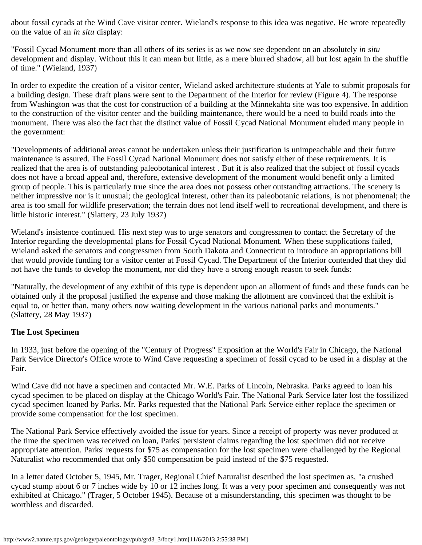about fossil cycads at the Wind Cave visitor center. Wieland's response to this idea was negative. He wrote repeatedly on the value of an *in situ* display:

"Fossil Cycad Monument more than all others of its series is as we now see dependent on an absolutely *in situ* development and display. Without this it can mean but little, as a mere blurred shadow, all but lost again in the shuffle of time." (Wieland, 1937)

In order to expedite the creation of a visitor center, Wieland asked architecture students at Yale to submit proposals for a building design. These draft plans were sent to the Department of the Interior for review (Figure 4). The response from Washington was that the cost for construction of a building at the Minnekahta site was too expensive. In addition to the construction of the visitor center and the building maintenance, there would be a need to build roads into the monument. There was also the fact that the distinct value of Fossil Cycad National Monument eluded many people in the government:

"Developments of additional areas cannot be undertaken unless their justification is unimpeachable and their future maintenance is assured. The Fossil Cycad National Monument does not satisfy either of these requirements. It is realized that the area is of outstanding paleobotanical interest . But it is also realized that the subject of fossil cycads does not have a broad appeal and, therefore, extensive development of the monument would benefit only a limited group of people. This is particularly true since the area does not possess other outstanding attractions. The scenery is neither impressive nor is it unusual; the geological interest, other than its paleobotanic relations, is not phenomenal; the area is too small for wildlife preservation; the terrain does not lend itself well to recreational development, and there is little historic interest." (Slattery, 23 July 1937)

Wieland's insistence continued. His next step was to urge senators and congressmen to contact the Secretary of the Interior regarding the developmental plans for Fossil Cycad National Monument. When these supplications failed, Wieland asked the senators and congressmen from South Dakota and Connecticut to introduce an appropriations bill that would provide funding for a visitor center at Fossil Cycad. The Department of the Interior contended that they did not have the funds to develop the monument, nor did they have a strong enough reason to seek funds:

"Naturally, the development of any exhibit of this type is dependent upon an allotment of funds and these funds can be obtained only if the proposal justified the expense and those making the allotment are convinced that the exhibit is equal to, or better than, many others now waiting development in the various national parks and monuments." (Slattery, 28 May 1937)

## **The Lost Specimen**

In 1933, just before the opening of the "Century of Progress" Exposition at the World's Fair in Chicago, the National Park Service Director's Office wrote to Wind Cave requesting a specimen of fossil cycad to be used in a display at the Fair.

Wind Cave did not have a specimen and contacted Mr. W.E. Parks of Lincoln, Nebraska. Parks agreed to loan his cycad specimen to be placed on display at the Chicago World's Fair. The National Park Service later lost the fossilized cycad specimen loaned by Parks. Mr. Parks requested that the National Park Service either replace the specimen or provide some compensation for the lost specimen.

The National Park Service effectively avoided the issue for years. Since a receipt of property was never produced at the time the specimen was received on loan, Parks' persistent claims regarding the lost specimen did not receive appropriate attention. Parks' requests for \$75 as compensation for the lost specimen were challenged by the Regional Naturalist who recommended that only \$50 compensation be paid instead of the \$75 requested.

In a letter dated October 5, 1945, Mr. Trager, Regional Chief Naturalist described the lost specimen as, "a crushed cycad stump about 6 or 7 inches wide by 10 or 12 inches long. It was a very poor specimen and consequently was not exhibited at Chicago." (Trager, 5 October 1945). Because of a misunderstanding, this specimen was thought to be worthless and discarded.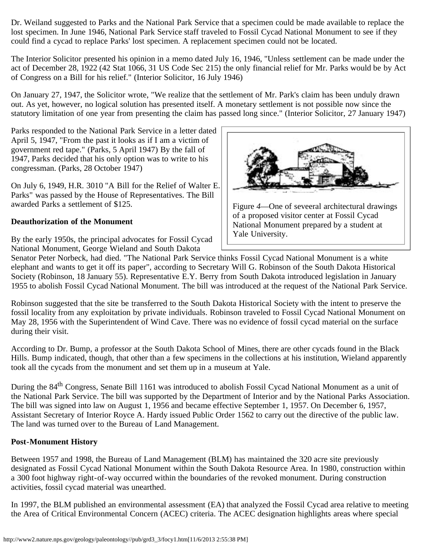Dr. Weiland suggested to Parks and the National Park Service that a specimen could be made available to replace the lost specimen. In June 1946, National Park Service staff traveled to Fossil Cycad National Monument to see if they could find a cycad to replace Parks' lost specimen. A replacement specimen could not be located.

The Interior Solicitor presented his opinion in a memo dated July 16, 1946, "Unless settlement can be made under the act of December 28, 1922 (42 Stat 1066, 31 US Code Sec 215) the only financial relief for Mr. Parks would be by Act of Congress on a Bill for his relief." (Interior Solicitor, 16 July 1946)

On January 27, 1947, the Solicitor wrote, "We realize that the settlement of Mr. Park's claim has been unduly drawn out. As yet, however, no logical solution has presented itself. A monetary settlement is not possible now since the statutory limitation of one year from presenting the claim has passed long since." (Interior Solicitor, 27 January 1947)

Parks responded to the National Park Service in a letter dated April 5, 1947, "From the past it looks as if I am a victim of government red tape." (Parks, 5 April 1947) By the fall of 1947, Parks decided that his only option was to write to his congressman. (Parks, 28 October 1947)

On July 6, 1949, H.R. 3010 "A Bill for the Relief of Walter E. Parks" was passed by the House of Representatives. The Bill awarded Parks a settlement of \$125.

## **Deauthorization of the Monument**

By the early 1950s, the principal advocates for Fossil Cycad National Monument, George Wieland and South Dakota



Figure *4*—One of seveeral architectural drawings of a proposed visitor center at Fossil Cycad National Monument prepared by a student at Yale University.

Senator Peter Norbeck, had died. "The National Park Service thinks Fossil Cycad National Monument is a white elephant and wants to get it off its paper", according to Secretary Will G. Robinson of the South Dakota Historical Society (Robinson, 18 January 55). Representative E.Y. Berry from South Dakota introduced legislation in January 1955 to abolish Fossil Cycad National Monument. The bill was introduced at the request of the National Park Service.

Robinson suggested that the site be transferred to the South Dakota Historical Society with the intent to preserve the fossil locality from any exploitation by private individuals. Robinson traveled to Fossil Cycad National Monument on May 28, 1956 with the Superintendent of Wind Cave. There was no evidence of fossil cycad material on the surface during their visit.

According to Dr. Bump, a professor at the South Dakota School of Mines, there are other cycads found in the Black Hills. Bump indicated, though, that other than a few specimens in the collections at his institution, Wieland apparently took all the cycads from the monument and set them up in a museum at Yale.

During the 84<sup>th</sup> Congress, Senate Bill 1161 was introduced to abolish Fossil Cycad National Monument as a unit of the National Park Service. The bill was supported by the Department of Interior and by the National Parks Association. The bill was signed into law on August 1, 1956 and became effective September 1, 1957. On December 6, 1957, Assistant Secretary of Interior Royce A. Hardy issued Public Order 1562 to carry out the directive of the public law. The land was turned over to the Bureau of Land Management.

## **Post-Monument History**

Between 1957 and 1998, the Bureau of Land Management (BLM) has maintained the 320 acre site previously designated as Fossil Cycad National Monument within the South Dakota Resource Area. In 1980, construction within a 300 foot highway right-of-way occurred within the boundaries of the revoked monument. During construction activities, fossil cycad material was unearthed.

In 1997, the BLM published an environmental assessment (EA) that analyzed the Fossil Cycad area relative to meeting the Area of Critical Environmental Concern (ACEC) criteria. The ACEC designation highlights areas where special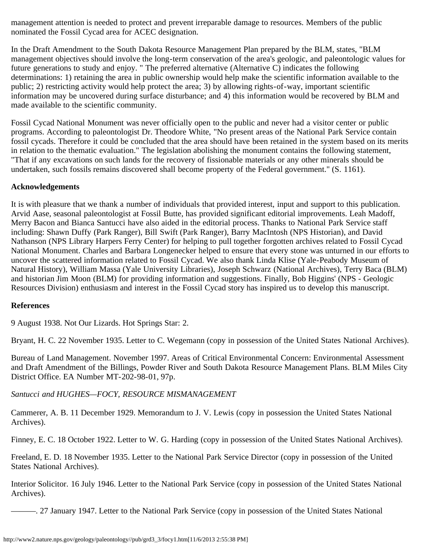management attention is needed to protect and prevent irreparable damage to resources. Members of the public nominated the Fossil Cycad area for ACEC designation.

In the Draft Amendment to the South Dakota Resource Management Plan prepared by the BLM, states, "BLM management objectives should involve the long-term conservation of the area's geologic, and paleontologic values for future generations to study and enjoy. " The preferred alternative (Alternative C) indicates the following determinations: 1) retaining the area in public ownership would help make the scientific information available to the public; 2) restricting activity would help protect the area; 3) by allowing rights-of-way, important scientific information may be uncovered during surface disturbance; and 4) this information would be recovered by BLM and made available to the scientific community.

Fossil Cycad National Monument was never officially open to the public and never had a visitor center or public programs. According to paleontologist Dr. Theodore White, "No present areas of the National Park Service contain fossil cycads. Therefore it could be concluded that the area should have been retained in the system based on its merits in relation to the thematic evaluation." The legislation abolishing the monument contains the following statement, "That if any excavations on such lands for the recovery of fissionable materials or any other minerals should be undertaken, such fossils remains discovered shall become property of the Federal government." (S. 1161).

## **Acknowledgements**

It is with pleasure that we thank a number of individuals that provided interest, input and support to this publication. Arvid Aase, seasonal paleontologist at Fossil Butte, has provided significant editorial improvements. Leah Madoff, Merry Bacon and Bianca Santucci have also aided in the editorial process. Thanks to National Park Service staff including: Shawn Duffy (Park Ranger), Bill Swift (Park Ranger), Barry MacIntosh (NPS Historian), and David Nathanson (NPS Library Harpers Ferry Center) for helping to pull together forgotten archives related to Fossil Cycad National Monument. Charles and Barbara Longenecker helped to ensure that every stone was unturned in our efforts to uncover the scattered information related to Fossil Cycad. We also thank Linda Klise (Yale-Peabody Museum of Natural History), William Massa (Yale University Libraries), Joseph Schwarz (National Archives), Terry Baca (BLM) and historian Jim Moon (BLM) for providing information and suggestions. Finally, Bob Higgins' (NPS - Geologic Resources Division) enthusiasm and interest in the Fossil Cycad story has inspired us to develop this manuscript.

#### **References**

9 August 1938. Not Our Lizards. Hot Springs Star: 2.

Bryant, H. C. 22 November 1935. Letter to C. Wegemann (copy in possession of the United States National Archives).

Bureau of Land Management. November 1997. Areas of Critical Environmental Concern: Environmental Assessment and Draft Amendment of the Billings, Powder River and South Dakota Resource Management Plans. BLM Miles City District Office. EA Number MT-202-98-01, 97p.

## *Santucci and HUGHES—FOCY, RESOURCE MISMANAGEMENT*

Cammerer, A. B. 11 December 1929. Memorandum to J. V. Lewis (copy in possession the United States National Archives).

Finney, E. C. 18 October 1922. Letter to W. G. Harding (copy in possession of the United States National Archives).

Freeland, E. D. 18 November 1935. Letter to the National Park Service Director (copy in possession of the United States National Archives).

Interior Solicitor. 16 July 1946. Letter to the National Park Service (copy in possession of the United States National Archives).

———. 27 January 1947. Letter to the National Park Service (copy in possession of the United States National